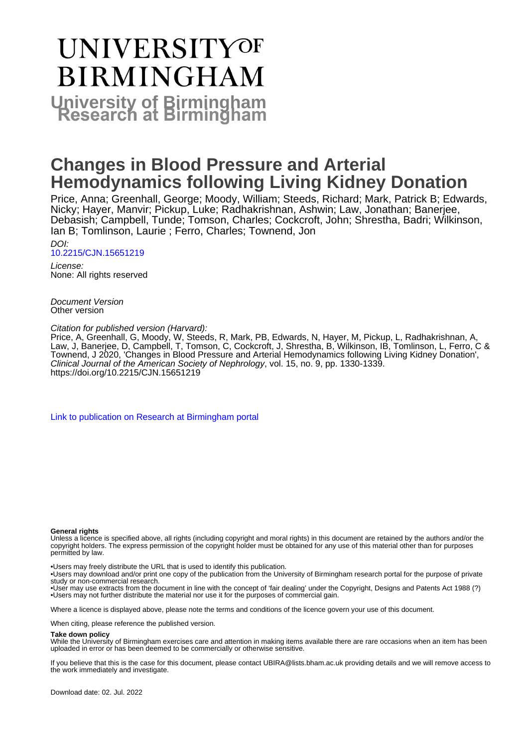# **UNIVERSITYOF BIRMINGHAM University of Birmingham**

# **Changes in Blood Pressure and Arterial Hemodynamics following Living Kidney Donation**

Price, Anna; Greenhall, George; Moody, William; Steeds, Richard; Mark, Patrick B; Edwards, Nicky; Hayer, Manvir; Pickup, Luke; Radhakrishnan, Ashwin; Law, Jonathan; Banerjee, Debasish; Campbell, Tunde; Tomson, Charles; Cockcroft, John; Shrestha, Badri; Wilkinson, Ian B; Tomlinson, Laurie ; Ferro, Charles; Townend, Jon

DOI: [10.2215/CJN.15651219](https://doi.org/10.2215/CJN.15651219)

License: None: All rights reserved

Document Version Other version

Citation for published version (Harvard):

Price, A, Greenhall, G, Moody, W, Steeds, R, Mark, PB, Edwards, N, Hayer, M, Pickup, L, Radhakrishnan, A, Law, J, Banerjee, D, Campbell, T, Tomson, C, Cockcroft, J, Shrestha, B, Wilkinson, IB, Tomlinson, L, Ferro, C & Townend, J 2020, 'Changes in Blood Pressure and Arterial Hemodynamics following Living Kidney Donation', Clinical Journal of the American Society of Nephrology, vol. 15, no. 9, pp. 1330-1339. <https://doi.org/10.2215/CJN.15651219>

[Link to publication on Research at Birmingham portal](https://birmingham.elsevierpure.com/en/publications/5fce219d-9816-45bd-a73b-fd84c0487beb)

#### **General rights**

Unless a licence is specified above, all rights (including copyright and moral rights) in this document are retained by the authors and/or the copyright holders. The express permission of the copyright holder must be obtained for any use of this material other than for purposes permitted by law.

• Users may freely distribute the URL that is used to identify this publication.

• Users may download and/or print one copy of the publication from the University of Birmingham research portal for the purpose of private study or non-commercial research.

• User may use extracts from the document in line with the concept of 'fair dealing' under the Copyright, Designs and Patents Act 1988 (?) • Users may not further distribute the material nor use it for the purposes of commercial gain.

Where a licence is displayed above, please note the terms and conditions of the licence govern your use of this document.

When citing, please reference the published version.

#### **Take down policy**

While the University of Birmingham exercises care and attention in making items available there are rare occasions when an item has been uploaded in error or has been deemed to be commercially or otherwise sensitive.

If you believe that this is the case for this document, please contact UBIRA@lists.bham.ac.uk providing details and we will remove access to the work immediately and investigate.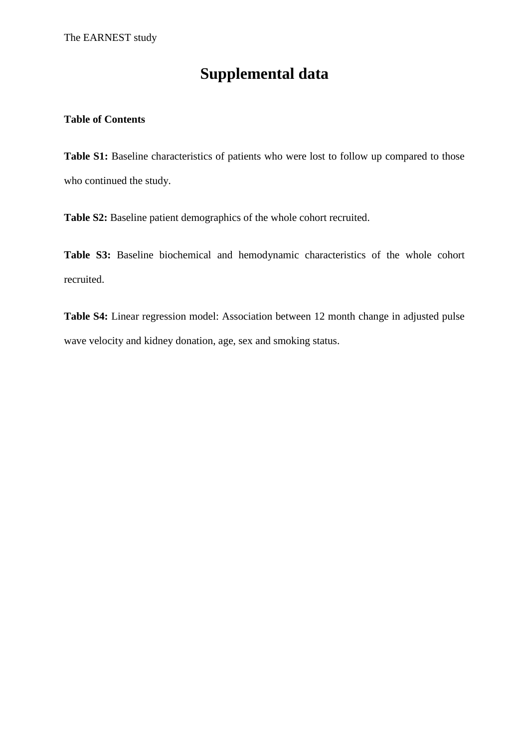# **Supplemental data**

### **Table of Contents**

Table S1: Baseline characteristics of patients who were lost to follow up compared to those who continued the study.

**Table S2:** Baseline patient demographics of the whole cohort recruited.

**Table S3:** Baseline biochemical and hemodynamic characteristics of the whole cohort recruited.

**Table S4:** Linear regression model: Association between 12 month change in adjusted pulse wave velocity and kidney donation, age, sex and smoking status.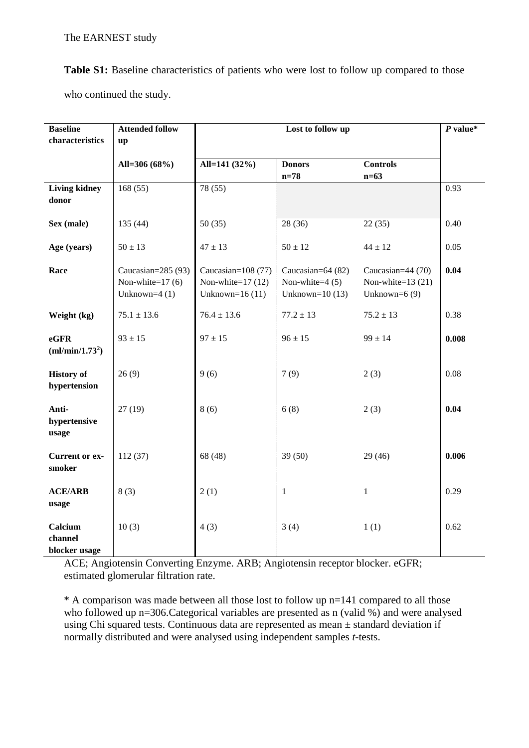Table S1: Baseline characteristics of patients who were lost to follow up compared to those who continued the study.

| <b>Baseline</b><br>characteristics  | <b>Attended follow</b><br>up                              |                                                                  | $P$ value*                                                  |                                                             |       |
|-------------------------------------|-----------------------------------------------------------|------------------------------------------------------------------|-------------------------------------------------------------|-------------------------------------------------------------|-------|
|                                     | All=306 (68%)                                             | All=141 (32%)                                                    | <b>Donors</b><br>$n=78$                                     | <b>Controls</b><br>$n=63$                                   |       |
| <b>Living kidney</b><br>donor       | 168(55)                                                   | 78 (55)                                                          |                                                             |                                                             | 0.93  |
| Sex (male)                          | 135(44)                                                   | 50(35)                                                           | 28 (36)                                                     | 22(35)                                                      | 0.40  |
| Age (years)                         | $50 \pm 13$                                               | $47 \pm 13$                                                      | $50 \pm 12$                                                 | $44 \pm 12$                                                 | 0.05  |
| Race                                | Caucasian=285 (93)<br>Non-white=17 (6)<br>Unknown= $4(1)$ | Caucasian= $108(77)$<br>Non-white= $17(12)$<br>Unknown= $16(11)$ | Caucasian=64 (82)<br>Non-white= $4(5)$<br>Unknown= $10(13)$ | Caucasian=44 (70)<br>Non-white= $13(21)$<br>Unknown= $6(9)$ | 0.04  |
| Weight (kg)                         | $75.1 \pm 13.6$                                           | $76.4 \pm 13.6$                                                  | $77.2 \pm 13$                                               | $75.2 \pm 13$                                               | 0.38  |
| eGFR<br>(ml/min/1.73 <sup>2</sup> ) | $93 \pm 15$                                               | $97 \pm 15$                                                      | $96 \pm 15$                                                 | $99 \pm 14$                                                 | 0.008 |
| <b>History of</b><br>hypertension   | 26(9)                                                     | 9(6)                                                             | 7(9)                                                        | 2(3)                                                        | 0.08  |
| Anti-<br>hypertensive<br>usage      | 27(19)                                                    | 8(6)                                                             | 6(8)                                                        | 2(3)                                                        | 0.04  |
| <b>Current or ex-</b><br>smoker     | 112(37)                                                   | 68 (48)                                                          | 39(50)                                                      | 29(46)                                                      | 0.006 |
| <b>ACE/ARB</b><br>usage             | 8(3)                                                      | 2(1)                                                             | $\mathbf{1}$                                                | $\mathbf{1}$                                                | 0.29  |
| Calcium<br>channel<br>blocker usage | 10(3)                                                     | 4(3)                                                             | 3(4)                                                        | 1(1)                                                        | 0.62  |

ACE; Angiotensin Converting Enzyme. ARB; Angiotensin receptor blocker. eGFR; estimated glomerular filtration rate.

\* A comparison was made between all those lost to follow up n=141 compared to all those who followed up n=306. Categorical variables are presented as n (valid %) and were analysed using Chi squared tests. Continuous data are represented as mean ± standard deviation if normally distributed and were analysed using independent samples *t*-tests.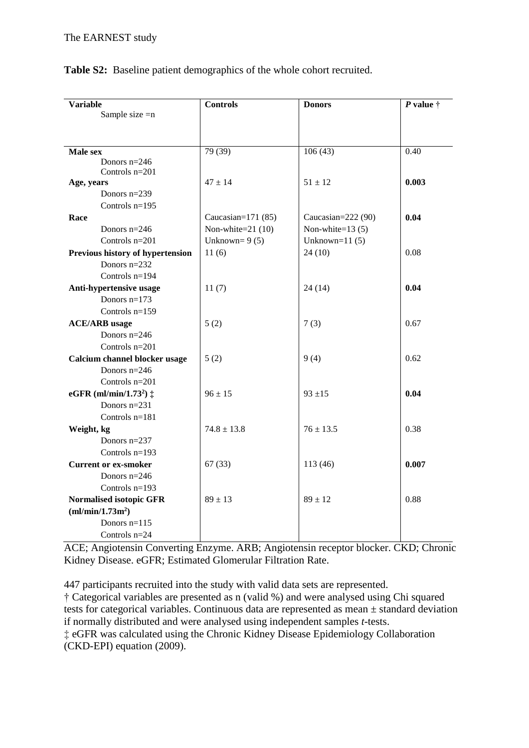| <b>Variable</b>                             | <b>Controls</b>      | <b>Donors</b>      | P value $\dagger$ |  |
|---------------------------------------------|----------------------|--------------------|-------------------|--|
| Sample size $=n$                            |                      |                    |                   |  |
|                                             |                      |                    |                   |  |
|                                             |                      |                    |                   |  |
| Male sex                                    | 79 (39)              | 106(43)            | 0.40              |  |
| Donors $n=246$                              |                      |                    |                   |  |
| Controls $n=201$<br>Age, years              | $47 \pm 14$          | $51 \pm 12$        | 0.003             |  |
| Donors n=239                                |                      |                    |                   |  |
| Controls $n=195$                            |                      |                    |                   |  |
| Race                                        | Caucasian= $171(85)$ | Caucasian=222 (90) | 0.04              |  |
| Donors $n=246$                              | Non-white= $21(10)$  | Non-white= $13(5)$ |                   |  |
| Controls n=201                              | Unknown= $9(5)$      | Unknown= $11(5)$   |                   |  |
| Previous history of hypertension            | 11(6)                | 24(10)             | 0.08              |  |
| Donors $n=232$                              |                      |                    |                   |  |
| Controls $n=194$                            |                      |                    |                   |  |
| Anti-hypertensive usage                     | 11(7)                | 24(14)             | 0.04              |  |
| Donors $n=173$                              |                      |                    |                   |  |
| Controls $n=159$                            |                      |                    |                   |  |
| <b>ACE/ARB</b> usage                        | 5(2)                 | 7(3)               | 0.67              |  |
| Donors $n=246$                              |                      |                    |                   |  |
| Controls $n=201$                            |                      |                    |                   |  |
| Calcium channel blocker usage               | 5(2)                 | 9(4)               | 0.62              |  |
| Donors $n=246$                              |                      |                    |                   |  |
| Controls $n=201$                            |                      |                    |                   |  |
| eGFR (ml/min/1.73 <sup>2</sup> ) $\ddagger$ | $96 \pm 15$          | $93 + 15$          | 0.04              |  |
| Donors n=231                                |                      |                    |                   |  |
| Controls $n=181$                            |                      |                    |                   |  |
| Weight, kg                                  | $74.8 \pm 13.8$      | $76 \pm 13.5$      | 0.38              |  |
| Donors $n=237$                              |                      |                    |                   |  |
| Controls $n=193$                            |                      |                    |                   |  |
| <b>Current or ex-smoker</b>                 | 67(33)               | 113(46)            | 0.007             |  |
| Donors $n=246$                              |                      |                    |                   |  |
| Controls $n=193$                            |                      |                    |                   |  |
| <b>Normalised isotopic GFR</b>              | $89 \pm 13$          | $89 \pm 12$        | 0.88              |  |
| (ml/min/1.73m <sup>2</sup> )                |                      |                    |                   |  |
| Donors $n=115$                              |                      |                    |                   |  |
| Controls $n=24$                             |                      |                    |                   |  |

## **Table S2:** Baseline patient demographics of the whole cohort recruited.

ACE; Angiotensin Converting Enzyme. ARB; Angiotensin receptor blocker. CKD; Chronic Kidney Disease. eGFR; Estimated Glomerular Filtration Rate.

447 participants recruited into the study with valid data sets are represented.

† Categorical variables are presented as n (valid %) and were analysed using Chi squared tests for categorical variables. Continuous data are represented as mean ± standard deviation if normally distributed and were analysed using independent samples *t*-tests. **‡** eGFR was calculated using the Chronic Kidney Disease Epidemiology Collaboration (CKD-EPI) equation (2009).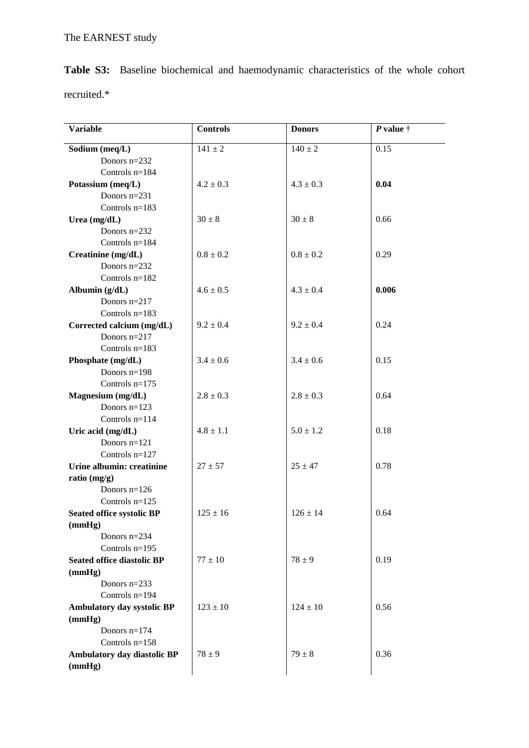|             |  | <b>Table S3:</b> Baseline biochemical and haemodynamic characteristics of the whole cohort |  |  |  |
|-------------|--|--------------------------------------------------------------------------------------------|--|--|--|
| recruited.* |  |                                                                                            |  |  |  |

| 0.15<br>Sodium (meq/L)<br>$141 \pm 2$<br>$140 \pm 2$<br>Donors $n=232$<br>Controls $n=184$<br>0.04<br>Potassium (meq/L)<br>$4.2 \pm 0.3$<br>$4.3 \pm 0.3$<br>Donors $n=231$<br>Controls $n=183$<br>0.66<br>Urea $(mg/dL)$<br>$30 \pm 8$<br>$30 \pm 8$<br>Donors $n=232$<br>Controls $n=184$<br>$0.8 \pm 0.2$<br>$0.8 \pm 0.2$<br>0.29<br>Creatinine (mg/dL)<br>Donors $n=232$<br>Controls $n=182$<br>$4.6 \pm 0.5$<br>$4.3 \pm 0.4$<br>0.006<br>Albumin (g/dL)<br>Donors $n=217$<br>Controls $n=183$<br>Corrected calcium (mg/dL)<br>$9.2 \pm 0.4$<br>0.24<br>$9.2 \pm 0.4$<br>Donors $n=217$<br>Controls $n=183$<br>Phosphate (mg/dL)<br>$3.4 \pm 0.6$<br>0.15<br>$3.4 \pm 0.6$<br>Donors $n=198$<br>Controls $n=175$<br>0.64<br>Magnesium (mg/dL)<br>$2.8 \pm 0.3$<br>$2.8 \pm 0.3$<br>Donors $n=123$<br>Controls $n=114$<br>Uric acid (mg/dL)<br>$4.8 \pm 1.1$<br>$5.0 \pm 1.2$<br>0.18<br>Donors $n=121$<br>Controls $n=127$<br>Urine albumin: creatinine<br>$27 \pm 57$<br>$25 \pm 47$<br>0.78<br>ratio $(mg/g)$<br>Donors $n=126$<br>Controls $n=125$<br><b>Seated office systolic BP</b><br>$126 \pm 14$<br>0.64<br>$125 \pm 16$<br>(mmHg)<br>Donors $n=234$<br>Controls $n=195$<br>$78 \pm 9$<br>0.19<br><b>Seated office diastolic BP</b><br>$77 \pm 10$<br>(mmHg)<br>Donors $n=233$<br>Controls $n=194$<br>Ambulatory day systolic BP<br>$123 \pm 10$<br>$124 \pm 10$<br>0.56<br>(mmHg)<br>Donors $n=174$<br>Controls $n=158$ | <b>Variable</b> | <b>Controls</b> | <b>Donors</b> | P value $\dagger$ |
|-----------------------------------------------------------------------------------------------------------------------------------------------------------------------------------------------------------------------------------------------------------------------------------------------------------------------------------------------------------------------------------------------------------------------------------------------------------------------------------------------------------------------------------------------------------------------------------------------------------------------------------------------------------------------------------------------------------------------------------------------------------------------------------------------------------------------------------------------------------------------------------------------------------------------------------------------------------------------------------------------------------------------------------------------------------------------------------------------------------------------------------------------------------------------------------------------------------------------------------------------------------------------------------------------------------------------------------------------------------------------------------------------------------------------------------------|-----------------|-----------------|---------------|-------------------|
|                                                                                                                                                                                                                                                                                                                                                                                                                                                                                                                                                                                                                                                                                                                                                                                                                                                                                                                                                                                                                                                                                                                                                                                                                                                                                                                                                                                                                                         |                 |                 |               |                   |
|                                                                                                                                                                                                                                                                                                                                                                                                                                                                                                                                                                                                                                                                                                                                                                                                                                                                                                                                                                                                                                                                                                                                                                                                                                                                                                                                                                                                                                         |                 |                 |               |                   |
|                                                                                                                                                                                                                                                                                                                                                                                                                                                                                                                                                                                                                                                                                                                                                                                                                                                                                                                                                                                                                                                                                                                                                                                                                                                                                                                                                                                                                                         |                 |                 |               |                   |
|                                                                                                                                                                                                                                                                                                                                                                                                                                                                                                                                                                                                                                                                                                                                                                                                                                                                                                                                                                                                                                                                                                                                                                                                                                                                                                                                                                                                                                         |                 |                 |               |                   |
|                                                                                                                                                                                                                                                                                                                                                                                                                                                                                                                                                                                                                                                                                                                                                                                                                                                                                                                                                                                                                                                                                                                                                                                                                                                                                                                                                                                                                                         |                 |                 |               |                   |
|                                                                                                                                                                                                                                                                                                                                                                                                                                                                                                                                                                                                                                                                                                                                                                                                                                                                                                                                                                                                                                                                                                                                                                                                                                                                                                                                                                                                                                         |                 |                 |               |                   |
|                                                                                                                                                                                                                                                                                                                                                                                                                                                                                                                                                                                                                                                                                                                                                                                                                                                                                                                                                                                                                                                                                                                                                                                                                                                                                                                                                                                                                                         |                 |                 |               |                   |
|                                                                                                                                                                                                                                                                                                                                                                                                                                                                                                                                                                                                                                                                                                                                                                                                                                                                                                                                                                                                                                                                                                                                                                                                                                                                                                                                                                                                                                         |                 |                 |               |                   |
|                                                                                                                                                                                                                                                                                                                                                                                                                                                                                                                                                                                                                                                                                                                                                                                                                                                                                                                                                                                                                                                                                                                                                                                                                                                                                                                                                                                                                                         |                 |                 |               |                   |
|                                                                                                                                                                                                                                                                                                                                                                                                                                                                                                                                                                                                                                                                                                                                                                                                                                                                                                                                                                                                                                                                                                                                                                                                                                                                                                                                                                                                                                         |                 |                 |               |                   |
|                                                                                                                                                                                                                                                                                                                                                                                                                                                                                                                                                                                                                                                                                                                                                                                                                                                                                                                                                                                                                                                                                                                                                                                                                                                                                                                                                                                                                                         |                 |                 |               |                   |
|                                                                                                                                                                                                                                                                                                                                                                                                                                                                                                                                                                                                                                                                                                                                                                                                                                                                                                                                                                                                                                                                                                                                                                                                                                                                                                                                                                                                                                         |                 |                 |               |                   |
|                                                                                                                                                                                                                                                                                                                                                                                                                                                                                                                                                                                                                                                                                                                                                                                                                                                                                                                                                                                                                                                                                                                                                                                                                                                                                                                                                                                                                                         |                 |                 |               |                   |
|                                                                                                                                                                                                                                                                                                                                                                                                                                                                                                                                                                                                                                                                                                                                                                                                                                                                                                                                                                                                                                                                                                                                                                                                                                                                                                                                                                                                                                         |                 |                 |               |                   |
|                                                                                                                                                                                                                                                                                                                                                                                                                                                                                                                                                                                                                                                                                                                                                                                                                                                                                                                                                                                                                                                                                                                                                                                                                                                                                                                                                                                                                                         |                 |                 |               |                   |
|                                                                                                                                                                                                                                                                                                                                                                                                                                                                                                                                                                                                                                                                                                                                                                                                                                                                                                                                                                                                                                                                                                                                                                                                                                                                                                                                                                                                                                         |                 |                 |               |                   |
|                                                                                                                                                                                                                                                                                                                                                                                                                                                                                                                                                                                                                                                                                                                                                                                                                                                                                                                                                                                                                                                                                                                                                                                                                                                                                                                                                                                                                                         |                 |                 |               |                   |
|                                                                                                                                                                                                                                                                                                                                                                                                                                                                                                                                                                                                                                                                                                                                                                                                                                                                                                                                                                                                                                                                                                                                                                                                                                                                                                                                                                                                                                         |                 |                 |               |                   |
|                                                                                                                                                                                                                                                                                                                                                                                                                                                                                                                                                                                                                                                                                                                                                                                                                                                                                                                                                                                                                                                                                                                                                                                                                                                                                                                                                                                                                                         |                 |                 |               |                   |
|                                                                                                                                                                                                                                                                                                                                                                                                                                                                                                                                                                                                                                                                                                                                                                                                                                                                                                                                                                                                                                                                                                                                                                                                                                                                                                                                                                                                                                         |                 |                 |               |                   |
|                                                                                                                                                                                                                                                                                                                                                                                                                                                                                                                                                                                                                                                                                                                                                                                                                                                                                                                                                                                                                                                                                                                                                                                                                                                                                                                                                                                                                                         |                 |                 |               |                   |
|                                                                                                                                                                                                                                                                                                                                                                                                                                                                                                                                                                                                                                                                                                                                                                                                                                                                                                                                                                                                                                                                                                                                                                                                                                                                                                                                                                                                                                         |                 |                 |               |                   |
|                                                                                                                                                                                                                                                                                                                                                                                                                                                                                                                                                                                                                                                                                                                                                                                                                                                                                                                                                                                                                                                                                                                                                                                                                                                                                                                                                                                                                                         |                 |                 |               |                   |
|                                                                                                                                                                                                                                                                                                                                                                                                                                                                                                                                                                                                                                                                                                                                                                                                                                                                                                                                                                                                                                                                                                                                                                                                                                                                                                                                                                                                                                         |                 |                 |               |                   |
|                                                                                                                                                                                                                                                                                                                                                                                                                                                                                                                                                                                                                                                                                                                                                                                                                                                                                                                                                                                                                                                                                                                                                                                                                                                                                                                                                                                                                                         |                 |                 |               |                   |
|                                                                                                                                                                                                                                                                                                                                                                                                                                                                                                                                                                                                                                                                                                                                                                                                                                                                                                                                                                                                                                                                                                                                                                                                                                                                                                                                                                                                                                         |                 |                 |               |                   |
|                                                                                                                                                                                                                                                                                                                                                                                                                                                                                                                                                                                                                                                                                                                                                                                                                                                                                                                                                                                                                                                                                                                                                                                                                                                                                                                                                                                                                                         |                 |                 |               |                   |
|                                                                                                                                                                                                                                                                                                                                                                                                                                                                                                                                                                                                                                                                                                                                                                                                                                                                                                                                                                                                                                                                                                                                                                                                                                                                                                                                                                                                                                         |                 |                 |               |                   |
|                                                                                                                                                                                                                                                                                                                                                                                                                                                                                                                                                                                                                                                                                                                                                                                                                                                                                                                                                                                                                                                                                                                                                                                                                                                                                                                                                                                                                                         |                 |                 |               |                   |
|                                                                                                                                                                                                                                                                                                                                                                                                                                                                                                                                                                                                                                                                                                                                                                                                                                                                                                                                                                                                                                                                                                                                                                                                                                                                                                                                                                                                                                         |                 |                 |               |                   |
|                                                                                                                                                                                                                                                                                                                                                                                                                                                                                                                                                                                                                                                                                                                                                                                                                                                                                                                                                                                                                                                                                                                                                                                                                                                                                                                                                                                                                                         |                 |                 |               |                   |
|                                                                                                                                                                                                                                                                                                                                                                                                                                                                                                                                                                                                                                                                                                                                                                                                                                                                                                                                                                                                                                                                                                                                                                                                                                                                                                                                                                                                                                         |                 |                 |               |                   |
|                                                                                                                                                                                                                                                                                                                                                                                                                                                                                                                                                                                                                                                                                                                                                                                                                                                                                                                                                                                                                                                                                                                                                                                                                                                                                                                                                                                                                                         |                 |                 |               |                   |
|                                                                                                                                                                                                                                                                                                                                                                                                                                                                                                                                                                                                                                                                                                                                                                                                                                                                                                                                                                                                                                                                                                                                                                                                                                                                                                                                                                                                                                         |                 |                 |               |                   |
|                                                                                                                                                                                                                                                                                                                                                                                                                                                                                                                                                                                                                                                                                                                                                                                                                                                                                                                                                                                                                                                                                                                                                                                                                                                                                                                                                                                                                                         |                 |                 |               |                   |
|                                                                                                                                                                                                                                                                                                                                                                                                                                                                                                                                                                                                                                                                                                                                                                                                                                                                                                                                                                                                                                                                                                                                                                                                                                                                                                                                                                                                                                         |                 |                 |               |                   |
|                                                                                                                                                                                                                                                                                                                                                                                                                                                                                                                                                                                                                                                                                                                                                                                                                                                                                                                                                                                                                                                                                                                                                                                                                                                                                                                                                                                                                                         |                 |                 |               |                   |
|                                                                                                                                                                                                                                                                                                                                                                                                                                                                                                                                                                                                                                                                                                                                                                                                                                                                                                                                                                                                                                                                                                                                                                                                                                                                                                                                                                                                                                         |                 |                 |               |                   |
|                                                                                                                                                                                                                                                                                                                                                                                                                                                                                                                                                                                                                                                                                                                                                                                                                                                                                                                                                                                                                                                                                                                                                                                                                                                                                                                                                                                                                                         |                 |                 |               |                   |
|                                                                                                                                                                                                                                                                                                                                                                                                                                                                                                                                                                                                                                                                                                                                                                                                                                                                                                                                                                                                                                                                                                                                                                                                                                                                                                                                                                                                                                         |                 |                 |               |                   |
|                                                                                                                                                                                                                                                                                                                                                                                                                                                                                                                                                                                                                                                                                                                                                                                                                                                                                                                                                                                                                                                                                                                                                                                                                                                                                                                                                                                                                                         |                 |                 |               |                   |
|                                                                                                                                                                                                                                                                                                                                                                                                                                                                                                                                                                                                                                                                                                                                                                                                                                                                                                                                                                                                                                                                                                                                                                                                                                                                                                                                                                                                                                         |                 |                 |               |                   |
|                                                                                                                                                                                                                                                                                                                                                                                                                                                                                                                                                                                                                                                                                                                                                                                                                                                                                                                                                                                                                                                                                                                                                                                                                                                                                                                                                                                                                                         |                 |                 |               |                   |
| $78 \pm 9$<br>$79 \pm 8$<br>0.36<br>Ambulatory day diastolic BP                                                                                                                                                                                                                                                                                                                                                                                                                                                                                                                                                                                                                                                                                                                                                                                                                                                                                                                                                                                                                                                                                                                                                                                                                                                                                                                                                                         |                 |                 |               |                   |
| (mmHg)                                                                                                                                                                                                                                                                                                                                                                                                                                                                                                                                                                                                                                                                                                                                                                                                                                                                                                                                                                                                                                                                                                                                                                                                                                                                                                                                                                                                                                  |                 |                 |               |                   |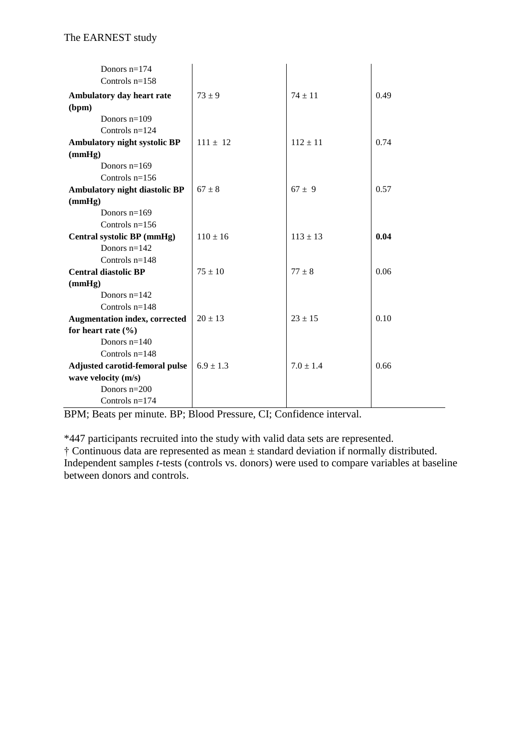| Donors $n=174$<br>Controls $n=158$   |               |               |      |
|--------------------------------------|---------------|---------------|------|
| Ambulatory day heart rate            | $73 \pm 9$    | $74 \pm 11$   | 0.49 |
| (bpm)                                |               |               |      |
| Donors $n=109$                       |               |               |      |
| Controls $n=124$                     |               |               |      |
| Ambulatory night systolic BP         | $111 \pm 12$  | $112 \pm 11$  | 0.74 |
| (mmHg)                               |               |               |      |
| Donors $n=169$                       |               |               |      |
| Controls $n=156$                     |               |               |      |
| Ambulatory night diastolic BP        | $67 \pm 8$    | $67 + 9$      | 0.57 |
| (mmHg)                               |               |               |      |
| Donors $n=169$                       |               |               |      |
| Controls $n=156$                     |               |               |      |
| Central systolic BP (mmHg)           | $110 \pm 16$  | $113 \pm 13$  | 0.04 |
| Donors $n=142$                       |               |               |      |
| Controls $n=148$                     |               |               |      |
| <b>Central diastolic BP</b>          | $75 \pm 10$   | $77 + 8$      | 0.06 |
| (mmHg)                               |               |               |      |
| Donors $n=142$                       |               |               |      |
| Controls $n=148$                     |               |               |      |
| <b>Augmentation index, corrected</b> | $20 \pm 13$   | $23 \pm 15$   | 0.10 |
| for heart rate $(\% )$               |               |               |      |
| Donors $n=140$                       |               |               |      |
| Controls $n=148$                     |               |               |      |
| Adjusted carotid-femoral pulse       | $6.9 \pm 1.3$ | $7.0 \pm 1.4$ | 0.66 |
| wave velocity (m/s)                  |               |               |      |
| Donors $n=200$                       |               |               |      |
| Controls $n=174$                     |               |               |      |

BPM; Beats per minute. BP; Blood Pressure, CI; Confidence interval.

\*447 participants recruited into the study with valid data sets are represented.

† Continuous data are represented as mean ± standard deviation if normally distributed. Independent samples *t*-tests (controls vs. donors) were used to compare variables at baseline between donors and controls.